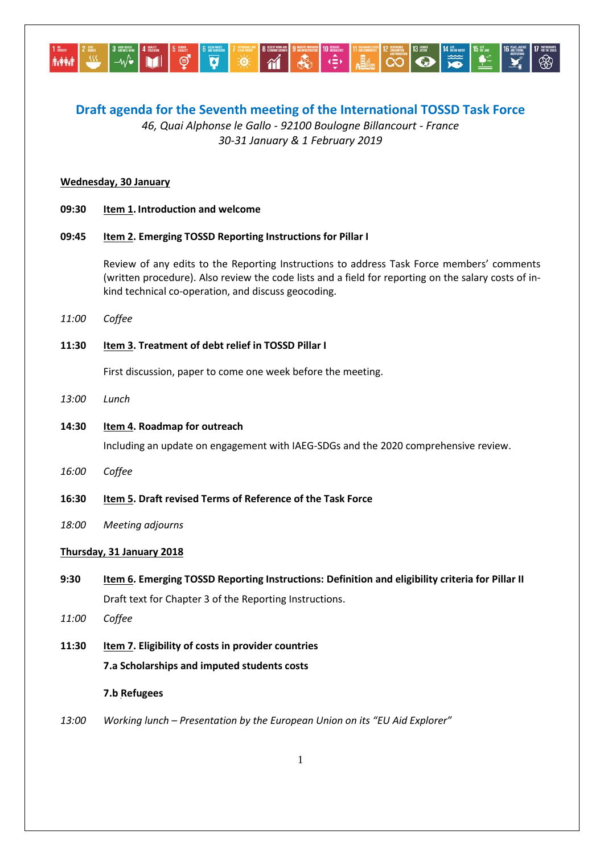

# **Draft agenda for the Seventh meeting of the International TOSSD Task Force**

*46, Quai Alphonse le Gallo - 92100 Boulogne Billancourt - France 30-31 January & 1 February 2019*

#### **Wednesday, 30 January**

**09:30 Item 1. Introduction and welcome**

# **09:45 Item 2. Emerging TOSSD Reporting Instructions for Pillar I**

Review of any edits to the Reporting Instructions to address Task Force members' comments (written procedure). Also review the code lists and a field for reporting on the salary costs of inkind technical co-operation, and discuss geocoding.

*11:00 Coffee*

### **11:30 Item 3. Treatment of debt relief in TOSSD Pillar I**

First discussion, paper to come one week before the meeting.

*13:00 Lunch* 

### **14:30 Item 4. Roadmap for outreach**

Including an update on engagement with IAEG-SDGs and the 2020 comprehensive review.

- *16:00 Coffee*
- **16:30 Item 5. Draft revised Terms of Reference of the Task Force**
- *18:00 Meeting adjourns*

#### **Thursday, 31 January 2018**

**9:30 Item 6. Emerging TOSSD Reporting Instructions: Definition and eligibility criteria for Pillar II** Draft text for Chapter 3 of the Reporting Instructions.

- *11:00 Coffee*
- **11:30 Item 7. Eligibility of costs in provider countries 7.a Scholarships and imputed students costs**

#### **7.b Refugees**

*13:00 Working lunch – Presentation by the European Union on its "EU Aid Explorer"*